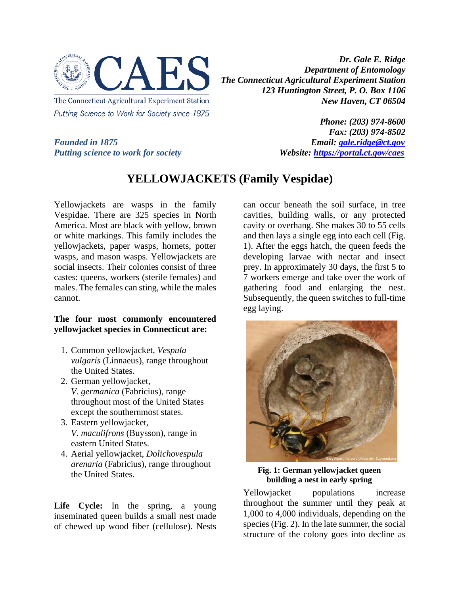

*Dr. Gale E. Ridge Department of Entomology The Connecticut Agricultural Experiment Station 123 Huntington Street, P. O. Box 1106 New Haven, CT 06504*

*Founded in 1875*<br>*Putting science to work for society*<br>*Website: https://portal.ct.gov/caes Putting science to work for society* 

*Phone: (203) 974-8600 Fax: (203) 974-8502*

**YELLOWJACKETS (Family Vespidae)**

Yellowjackets are wasps in the family Vespidae. There are 325 species in North America. Most are black with yellow, brown or white markings. This family includes the yellowjackets, paper wasps, hornets, potter wasps, and mason wasps. Yellowjackets are social insects. Their colonies consist of three castes: queens, workers (sterile females) and males. The females can sting, while the males cannot.

## **The four most commonly encountered yellowjacket species in Connecticut are:**

- 1. Common yellowjacket, *Vespula vulgaris* (Linnaeus), range throughout the United States.
- 2. German yellowjacket, *V. germanica* (Fabricius), range throughout most of the United States except the southernmost states.
- 3. Eastern yellowjacket, *V. maculifrons* (Buysson), range in eastern United States.
- 4. Aerial yellowjacket, *Dolichovespula arenaria* (Fabricius), range throughout the United States.

Life Cycle: In the spring, a young inseminated queen builds a small nest made of chewed up wood fiber (cellulose). Nests can occur beneath the soil surface, in tree cavities, building walls, or any protected cavity or overhang. She makes 30 to 55 cells and then lays a single egg into each cell (Fig. 1). After the eggs hatch, the queen feeds the developing larvae with nectar and insect prey. In approximately 30 days, the first 5 to 7 workers emerge and take over the work of gathering food and enlarging the nest. Subsequently, the queen switches to full-time egg laying.



**Fig. 1: German yellowjacket queen building a nest in early spring**

Yellowjacket populations increase throughout the summer until they peak at 1,000 to 4,000 individuals, depending on the species (Fig. 2). In the late summer, the social structure of the colony goes into decline as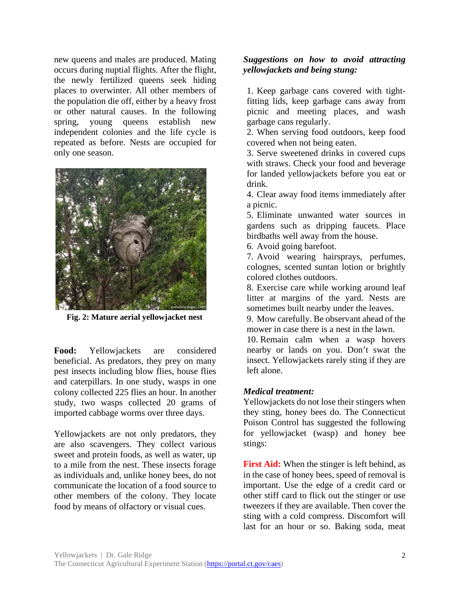new queens and males are produced. Mating occurs during nuptial flights. After the flight, the newly fertilized queens seek hiding places to overwinter. All other members of the population die off, either by a heavy frost or other natural causes. In the following spring, young queens establish new independent colonies and the life cycle is repeated as before. Nests are occupied for only one season.



**Fig. 2: Mature aerial yellowjacket nest**

**Food:** Yellowjackets are considered beneficial. As predators, they prey on many pest insects including blow flies, house flies and caterpillars. In one study, wasps in one colony collected 225 flies an hour. In another study, two wasps collected 20 grams of imported cabbage worms over three days.

Yellowjackets are not only predators, they are also scavengers. They collect various sweet and protein foods, as well as water, up to a mile from the nest. These insects forage as individuals and, unlike honey bees, do not communicate the location of a food source to other members of the colony. They locate food by means of olfactory or visual cues.

## *Suggestions on how to avoid attracting yellowjackets and being stung:*

1. Keep garbage cans covered with tightfitting lids, keep garbage cans away from picnic and meeting places, and wash garbage cans regularly.

2. When serving food outdoors, keep food covered when not being eaten.

3. Serve sweetened drinks in covered cups with straws. Check your food and beverage for landed yellowjackets before you eat or drink.

4. Clear away food items immediately after a picnic.

5. Eliminate unwanted water sources in gardens such as dripping faucets. Place birdbaths well away from the house.

6. Avoid going barefoot.

7. Avoid wearing hairsprays, perfumes, colognes, scented suntan lotion or brightly colored clothes outdoors.

8. Exercise care while working around leaf litter at margins of the yard. Nests are sometimes built nearby under the leaves.

9. Mow carefully. Be observant ahead of the mower in case there is a nest in the lawn.

10. Remain calm when a wasp hovers nearby or lands on you. Don't swat the insect. Yellowjackets rarely sting if they are left alone.

## *Medical treatment:*

Yellowjackets do not lose their stingers when they sting, honey bees do. The Connecticut Poison Control has suggested the following for yellowjacket (wasp) and honey bee stings:

**First Aid:** When the stinger is left behind, as in the case of honey bees, speed of removal is important. Use the edge of a credit card or other stiff card to flick out the stinger or use tweezers if they are available. Then cover the sting with a cold compress. Discomfort will last for an hour or so. Baking soda, meat